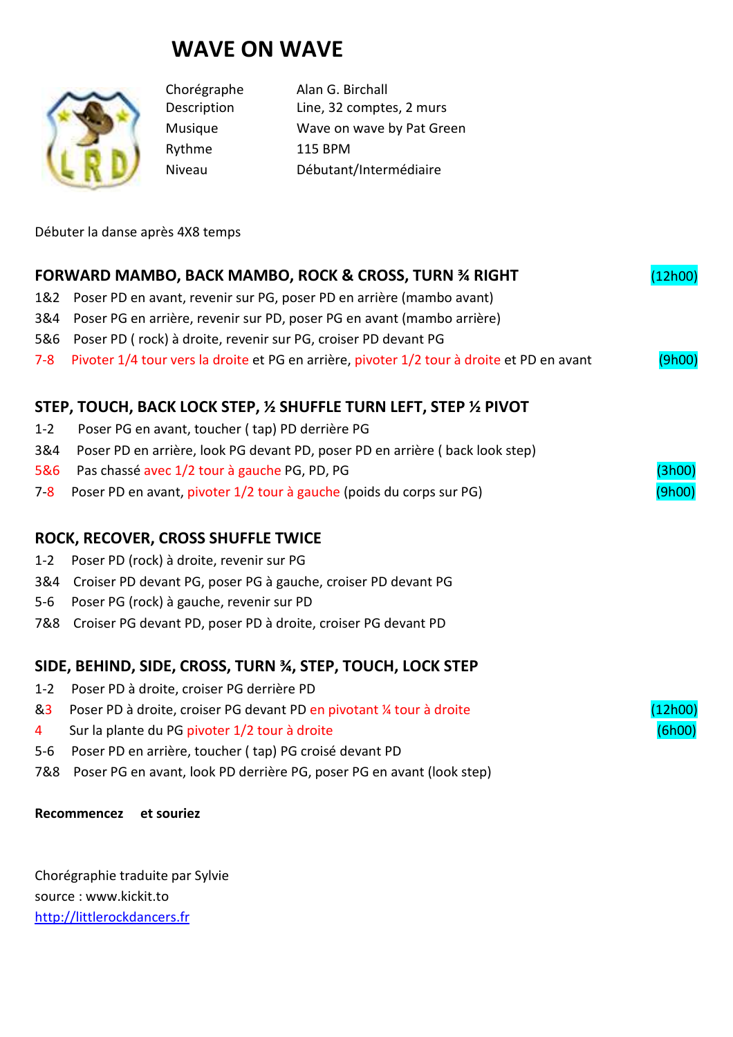# **WAVE ON WAVE**



Rythme 115 BPM

Chorégraphe Alan G. Birchall Description Line, 32 comptes, 2 murs Musique Wave on wave by Pat Green Niveau Débutant/Intermédiaire

Débuter la danse après 4X8 temps

| FORWARD MAMBO, BACK MAMBO, ROCK & CROSS, TURN 34 RIGHT<br>(12h00)  |                                                                                            |         |
|--------------------------------------------------------------------|--------------------------------------------------------------------------------------------|---------|
| 1&2                                                                | Poser PD en avant, revenir sur PG, poser PD en arrière (mambo avant)                       |         |
| 3&4                                                                | Poser PG en arrière, revenir sur PD, poser PG en avant (mambo arrière)                     |         |
| 5&6                                                                | Poser PD (rock) à droite, revenir sur PG, croiser PD devant PG                             |         |
| $7 - 8$                                                            | Pivoter 1/4 tour vers la droite et PG en arrière, pivoter 1/2 tour à droite et PD en avant | (9h00)  |
| STEP, TOUCH, BACK LOCK STEP, 1/2 SHUFFLE TURN LEFT, STEP 1/2 PIVOT |                                                                                            |         |
| $1 - 2$                                                            | Poser PG en avant, toucher (tap) PD derrière PG                                            |         |
| 3&4                                                                | Poser PD en arrière, look PG devant PD, poser PD en arrière (back look step)               |         |
| 5&6                                                                | Pas chassé avec 1/2 tour à gauche PG, PD, PG                                               | (3h00)  |
| $7-8$                                                              | Poser PD en avant, pivoter 1/2 tour à gauche (poids du corps sur PG)                       | (9h00)  |
| ROCK, RECOVER, CROSS SHUFFLE TWICE                                 |                                                                                            |         |
| $1 - 2$                                                            | Poser PD (rock) à droite, revenir sur PG                                                   |         |
| 3&4                                                                | Croiser PD devant PG, poser PG à gauche, croiser PD devant PG                              |         |
| $5-6$                                                              | Poser PG (rock) à gauche, revenir sur PD                                                   |         |
| 7&8                                                                | Croiser PG devant PD, poser PD à droite, croiser PG devant PD                              |         |
| SIDE, BEHIND, SIDE, CROSS, TURN %, STEP, TOUCH, LOCK STEP          |                                                                                            |         |
| $1 - 2$                                                            | Poser PD à droite, croiser PG derrière PD                                                  |         |
| &3                                                                 | Poser PD à droite, croiser PG devant PD en pivotant ¼ tour à droite                        | (12h00) |
| 4                                                                  | Sur la plante du PG pivoter 1/2 tour à droite                                              | (6h00)  |
| $5 - 6$                                                            | Poser PD en arrière, toucher (tap) PG croisé devant PD                                     |         |
| 7&8                                                                | Poser PG en avant, look PD derrière PG, poser PG en avant (look step)                      |         |
|                                                                    |                                                                                            |         |

### **Recommencez et souriez**

Chorégraphie traduite par Sylvie source : www.kickit.to http://littlerockdancers.fr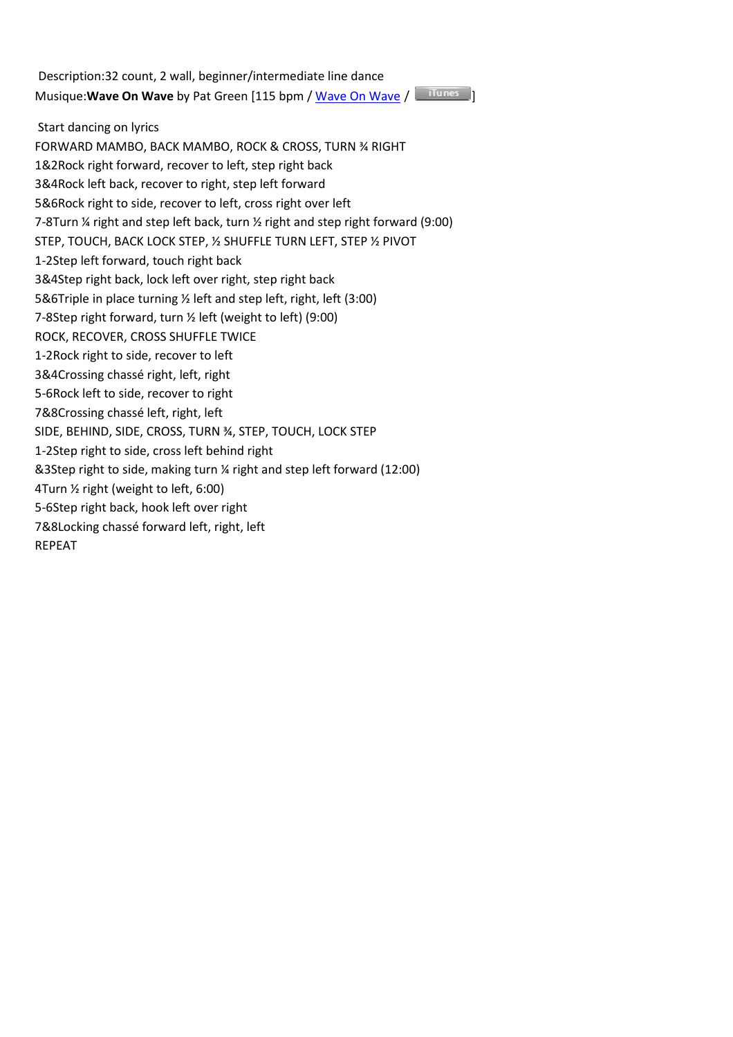Description:32 count, 2 wall, beginner/intermediate line dance Musique: Wave On Wave by Pat Green [115 bpm / Wave On Wave / Tunes 1

 Start dancing on lyrics FORWARD MAMBO, BACK MAMBO, ROCK & CROSS, TURN ¾ RIGHT 1&2Rock right forward, recover to left, step right back 3&4Rock left back, recover to right, step left forward 5&6Rock right to side, recover to left, cross right over left 7-8Turn ¼ right and step left back, turn ½ right and step right forward (9:00) STEP, TOUCH, BACK LOCK STEP, ½ SHUFFLE TURN LEFT, STEP ½ PIVOT 1-2Step left forward, touch right back 3&4Step right back, lock left over right, step right back 5&6Triple in place turning ½ left and step left, right, left (3:00) 7-8Step right forward, turn ½ left (weight to left) (9:00) ROCK, RECOVER, CROSS SHUFFLE TWICE 1-2Rock right to side, recover to left 3&4Crossing chassé right, left, right 5-6Rock left to side, recover to right 7&8Crossing chassé left, right, left SIDE, BEHIND, SIDE, CROSS, TURN ¾, STEP, TOUCH, LOCK STEP 1-2Step right to side, cross left behind right &3Step right to side, making turn ¼ right and step left forward (12:00) 4Turn ½ right (weight to left, 6:00) 5-6Step right back, hook left over right 7&8Locking chassé forward left, right, left REPEAT